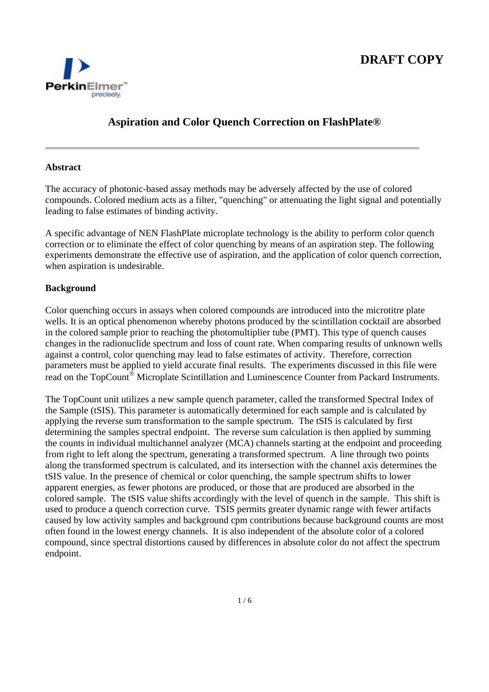

# **Aspiration and Color Quench Correction on FlashPlate®**

## **Abstract**

The accuracy of photonic-based assay methods may be adversely affected by the use of colored compounds. Colored medium acts as a filter, "quenching" or attenuating the light signal and potentially leading to false estimates of binding activity.

A specific advantage of NEN FlashPlate microplate technology is the ability to perform color quench correction or to eliminate the effect of color quenching by means of an aspiration step. The following experiments demonstrate the effective use of aspiration, and the application of color quench correction, when aspiration is undesirable.

## **Background**

Color quenching occurs in assays when colored compounds are introduced into the microtitre plate wells. It is an optical phenomenon whereby photons produced by the scintillation cocktail are absorbed in the colored sample prior to reaching the photomultiplier tube (PMT). This type of quench causes changes in the radionuclide spectrum and loss of count rate. When comparing results of unknown wells against a control, color quenching may lead to false estimates of activity. Therefore, correction parameters must be applied to yield accurate final results. The experiments discussed in this file were read on the TopCount® Microplate Scintillation and Luminescence Counter from Packard Instruments.

The TopCount unit utilizes a new sample quench parameter, called the transformed Spectral Index of the Sample (tSIS). This parameter is automatically determined for each sample and is calculated by applying the reverse sum transformation to the sample spectrum. The tSIS is calculated by first determining the samples spectral endpoint. The reverse sum calculation is then applied by summing the counts in individual multichannel analyzer (MCA) channels starting at the endpoint and proceeding from right to left along the spectrum, generating a transformed spectrum. A line through two points along the transformed spectrum is calculated, and its intersection with the channel axis determines the tSIS value. In the presence of chemical or color quenching, the sample spectrum shifts to lower apparent energies, as fewer photons are produced, or those that are produced are absorbed in the colored sample. The tSIS value shifts accordingly with the level of quench in the sample. This shift is used to produce a quench correction curve. TSIS permits greater dynamic range with fewer artifacts caused by low activity samples and background cpm contributions because background counts are most often found in the lowest energy channels. It is also independent of the absolute color of a colored compound, since spectral distortions caused by differences in absolute color do not affect the spectrum endpoint.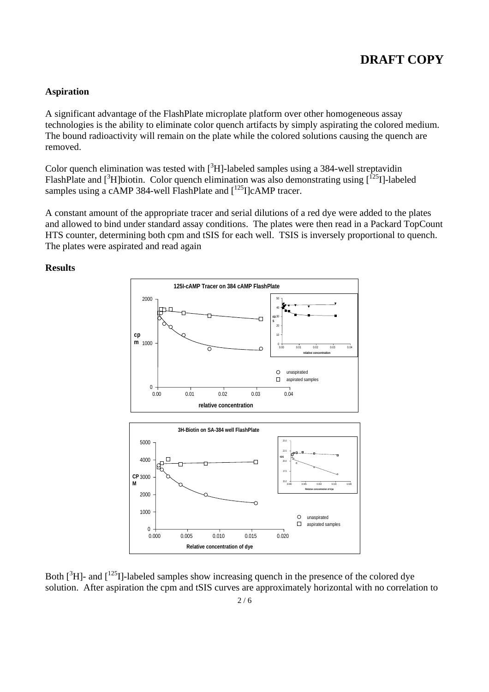### **Aspiration**

A significant advantage of the FlashPlate microplate platform over other homogeneous assay technologies is the ability to eliminate color quench artifacts by simply aspirating the colored medium. The bound radioactivity will remain on the plate while the colored solutions causing the quench are removed.

Color quench elimination was tested with  $[^{3}H]$ -labeled samples using a 384-well streptavidin FlashPlate and  $[^3H]$ biotin. Color quench elimination was also demonstrating using  $[^{25}I]$ -labeled samples using a cAMP 384-well FlashPlate and  $[125]$ CAMP tracer.

A constant amount of the appropriate tracer and serial dilutions of a red dye were added to the plates and allowed to bind under standard assay conditions. The plates were then read in a Packard TopCount HTS counter, determining both cpm and tSIS for each well. TSIS is inversely proportional to quench. The plates were aspirated and read again

**Results** 



Both  $[^{3}H]$ - and  $[^{125}I]$ -labeled samples show increasing quench in the presence of the colored dye solution. After aspiration the cpm and tSIS curves are approximately horizontal with no correlation to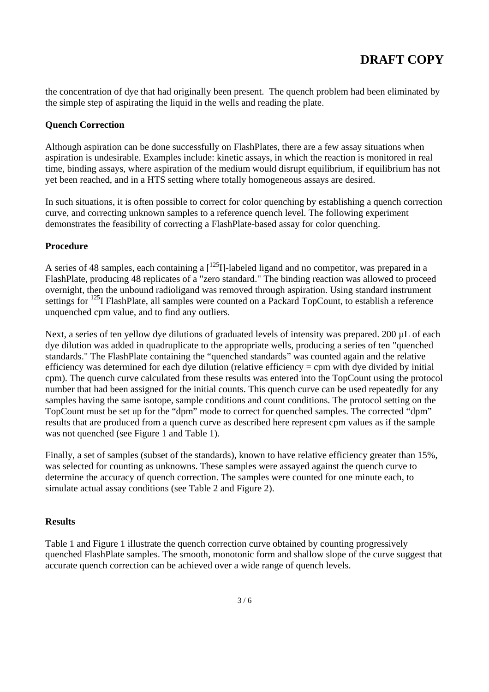the concentration of dye that had originally been present. The quench problem had been eliminated by the simple step of aspirating the liquid in the wells and reading the plate.

## **Quench Correction**

Although aspiration can be done successfully on FlashPlates, there are a few assay situations when aspiration is undesirable. Examples include: kinetic assays, in which the reaction is monitored in real time, binding assays, where aspiration of the medium would disrupt equilibrium, if equilibrium has not yet been reached, and in a HTS setting where totally homogeneous assays are desired.

In such situations, it is often possible to correct for color quenching by establishing a quench correction curve, and correcting unknown samples to a reference quench level. The following experiment demonstrates the feasibility of correcting a FlashPlate-based assay for color quenching.

### **Procedure**

A series of 48 samples, each containing a  $\left[^{125}I\right]$ -labeled ligand and no competitor, was prepared in a FlashPlate, producing 48 replicates of a "zero standard." The binding reaction was allowed to proceed overnight, then the unbound radioligand was removed through aspiration. Using standard instrument settings for <sup>125</sup>I FlashPlate, all samples were counted on a Packard TopCount, to establish a reference unquenched cpm value, and to find any outliers.

Next, a series of ten yellow dye dilutions of graduated levels of intensity was prepared. 200 µL of each dye dilution was added in quadruplicate to the appropriate wells, producing a series of ten "quenched standards." The FlashPlate containing the "quenched standards" was counted again and the relative efficiency was determined for each dye dilution (relative efficiency = cpm with dye divided by initial cpm). The quench curve calculated from these results was entered into the TopCount using the protocol number that had been assigned for the initial counts. This quench curve can be used repeatedly for any samples having the same isotope, sample conditions and count conditions. The protocol setting on the TopCount must be set up for the "dpm" mode to correct for quenched samples. The corrected "dpm" results that are produced from a quench curve as described here represent cpm values as if the sample was not quenched (see Figure 1 and Table 1).

Finally, a set of samples (subset of the standards), known to have relative efficiency greater than 15%, was selected for counting as unknowns. These samples were assayed against the quench curve to determine the accuracy of quench correction. The samples were counted for one minute each, to simulate actual assay conditions (see Table 2 and Figure 2).

### **Results**

Table 1 and Figure 1 illustrate the quench correction curve obtained by counting progressively quenched FlashPlate samples. The smooth, monotonic form and shallow slope of the curve suggest that accurate quench correction can be achieved over a wide range of quench levels.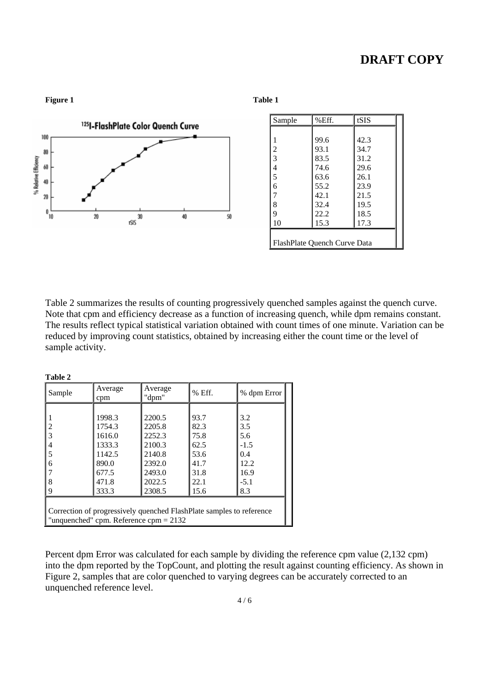

Table 2 summarizes the results of counting progressively quenched samples against the quench curve. Note that cpm and efficiency decrease as a function of increasing quench, while dpm remains constant. The results reflect typical statistical variation obtained with count times of one minute. Variation can be reduced by improving count statistics, obtained by increasing either the count time or the level of sample activity.

| Table 2                                                              |                |                  |        |             |
|----------------------------------------------------------------------|----------------|------------------|--------|-------------|
| Sample                                                               | Average<br>cpm | Average<br>"dpm" | % Eff. | % dpm Error |
|                                                                      |                |                  |        |             |
|                                                                      | 1998.3         | 2200.5           | 93.7   | 3.2         |
| 2                                                                    | 1754.3         | 2205.8           | 82.3   | 3.5         |
| 3                                                                    | 1616.0         | 2252.3           | 75.8   | 5.6         |
| 4                                                                    | 1333.3         | 2100.3           | 62.5   | $-1.5$      |
| 5                                                                    | 1142.5         | 2140.8           | 53.6   | 0.4         |
| 6                                                                    | 890.0          | 2392.0           | 41.7   | 12.2.       |
|                                                                      | 677.5          | 2493.0           | 31.8   | 16.9        |
| 8                                                                    | 471.8          | 2022.5           | 22.1   | $-5.1$      |
| 9                                                                    | 333.3          | 2308.5           | 15.6   | 8.3         |
|                                                                      |                |                  |        |             |
| Correction of progressively quenched FlashPlate samples to reference |                |                  |        |             |
| "unquenched" cpm. Reference cpm = $2132$                             |                |                  |        |             |

Percent dpm Error was calculated for each sample by dividing the reference cpm value (2,132 cpm) into the dpm reported by the TopCount, and plotting the result against counting efficiency. As shown in Figure 2, samples that are color quenched to varying degrees can be accurately corrected to an unquenched reference level.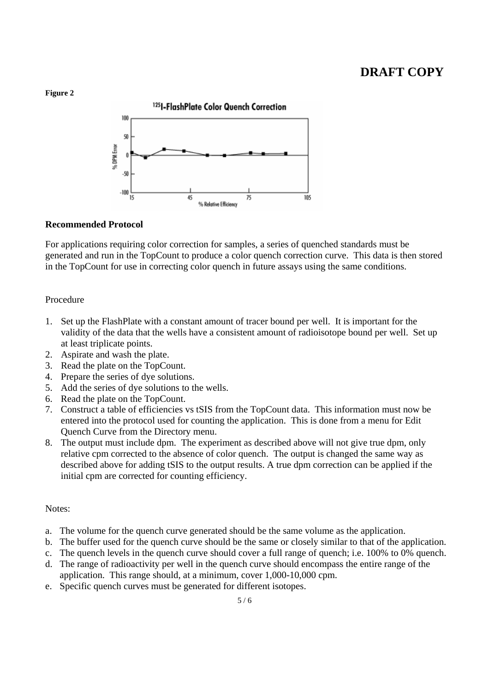#### **Figure 2**



### **Recommended Protocol**

For applications requiring color correction for samples, a series of quenched standards must be generated and run in the TopCount to produce a color quench correction curve. This data is then stored in the TopCount for use in correcting color quench in future assays using the same conditions.

#### Procedure

- 1. Set up the FlashPlate with a constant amount of tracer bound per well. It is important for the validity of the data that the wells have a consistent amount of radioisotope bound per well. Set up at least triplicate points.
- 2. Aspirate and wash the plate.
- 3. Read the plate on the TopCount.
- 4. Prepare the series of dye solutions.
- 5. Add the series of dye solutions to the wells.
- 6. Read the plate on the TopCount.
- 7. Construct a table of efficiencies vs tSIS from the TopCount data. This information must now be entered into the protocol used for counting the application. This is done from a menu for Edit Quench Curve from the Directory menu.
- 8. The output must include dpm. The experiment as described above will not give true dpm, only relative cpm corrected to the absence of color quench. The output is changed the same way as described above for adding tSIS to the output results. A true dpm correction can be applied if the initial cpm are corrected for counting efficiency.

## Notes:

- a. The volume for the quench curve generated should be the same volume as the application.
- b. The buffer used for the quench curve should be the same or closely similar to that of the application.
- c. The quench levels in the quench curve should cover a full range of quench; i.e. 100% to 0% quench.
- d. The range of radioactivity per well in the quench curve should encompass the entire range of the application. This range should, at a minimum, cover 1,000-10,000 cpm.
- e. Specific quench curves must be generated for different isotopes.